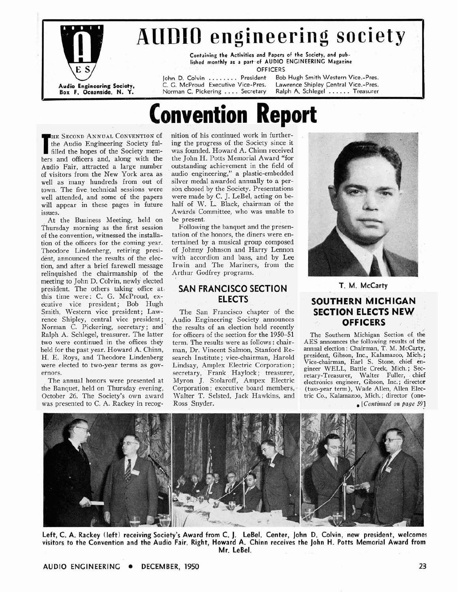

## **AUDIO engineering society**

Containing the Activities and Papers of the Society, and published monthly as a part.of AUDIO **ENGINEERING** Magazine

**OFFICERS** 

**Norman C. Pickering . . . . Secretary** 

John D. Colvin . . . . . . . President Bob Hugh Smith Western Vice.-Pres.<br>C. G. McProud Executive Vice-Pres. Lawrence Shipley Central Vice.-Pres. **Audio Engineering Society,** C. **G.** McProud Executive Vice-Pres. Lawrence Shipley Central Vice.-Pres.

# **onvention Report**

**THE SECOND ANNUAL CONVENTION of** the Audio Engineering Society fulfilled the hopes of the Society memthe Audio Engineering Society fulfilled the hopes of the Society members and officers and, along with the Audio Fair, attracted a large number of visitors from the New York area as well as many hundreds from out of town. The five technical sessions were well attended, and some of the papers will appear in these pages in future issues.

At the Business Meeting, held on Thursday morning as the first session of the convention, witnessed the installation of the officers for the coming year. Theodore Lindenberg, retiring president, announced the results of the election, and after a brief farewell message relinquished the chairmanship of the meeting to John D. Colvin, newly elected president. The others taking office at this time were: C. G. McProud, executive vice president; Bob Hugh Smith, Western vice president; Lawrence Shipley, central vice president; Norman C. Pickering, secretary; and Ralph A. Schlegel, treasurer. The latter two were continued in the offices they held for the past year. Howard A. Chinn, H. E. Roys, and Theodore Lindenberg were elected to two-year terms as governors.

The annual honors were presented at the Banquet, held on Thursday evening, October 26. The Society's own award was presented to C. A. Rackey in recognition of his continued work in furthering the progress of the Society since it was founded. Howard A. Chinn received the John H. Potts Memorial Award "for outstanding achievement in the field of audio engineering," a plastic-embedded silver medal awarded annually to a person chosed by the Society. Presentations were made by C. J. LeBel, acting on behalf of W. L. Black, chairman of the Awards Committee, who was unable to be present.

Following the banquet and the presentation of the honors, the diners were entertained by a musical group composed of Johnny Johnson and Harry Lennon with accordion and bass, and by Lee Irwin and The Mariners, from the Arthur Godfrey programs.

## **SAN FRANCISCO SECTION ELECTS**

The San Francisco chapter of the Audio Engineering Society announces the results of an election held recently for officers of the section for the 1950-51 term. The results were as follows : chairman, Dr. Vincent Salmon, Stanford Research Institute; vice-chairman, Harold Lindsay, Amplex Electric Corporation ; secretary, Frank Haylock; treasurer, Myron J. Stolaroff, Ampex Electric Corporation ; executive board members, - Walter T. Selsted, Jack Hawkins, and Ross Snyder.



**T. M. McCarty** 

## **SOUTHERN MICHIGAN SECTION ELECTS NEW ,OFFICERS**

The Southern Michigan Section of the AES announces the following results of the annual election : Chairman, T. M. McCarty, president, Gibson, Inc., Kalamazoo, Mich. ; Vice-chairman, Earl S. Stone, chief en- gineer WELL, Battle Creek, Mich.; Secretary-Treasurer, Walter Fuller, chief electronics engineer, Gibson, Inc. ; director (two-year term), Wade Allen, Allen Electric Co., Kalamazoo, Mich. ; director (one- , *[Continued on page* **<sup>591</sup>**

**Left, C. A. Rackey (left) receiving Society's Award from C. J. LeBel. Center, John D. Colvin, new president, welcomes visitors to the Convention and the Audio Fair. Right, Howard A. Chinn receives the John H. Potts Memorial Award from Mr. LeBel.**